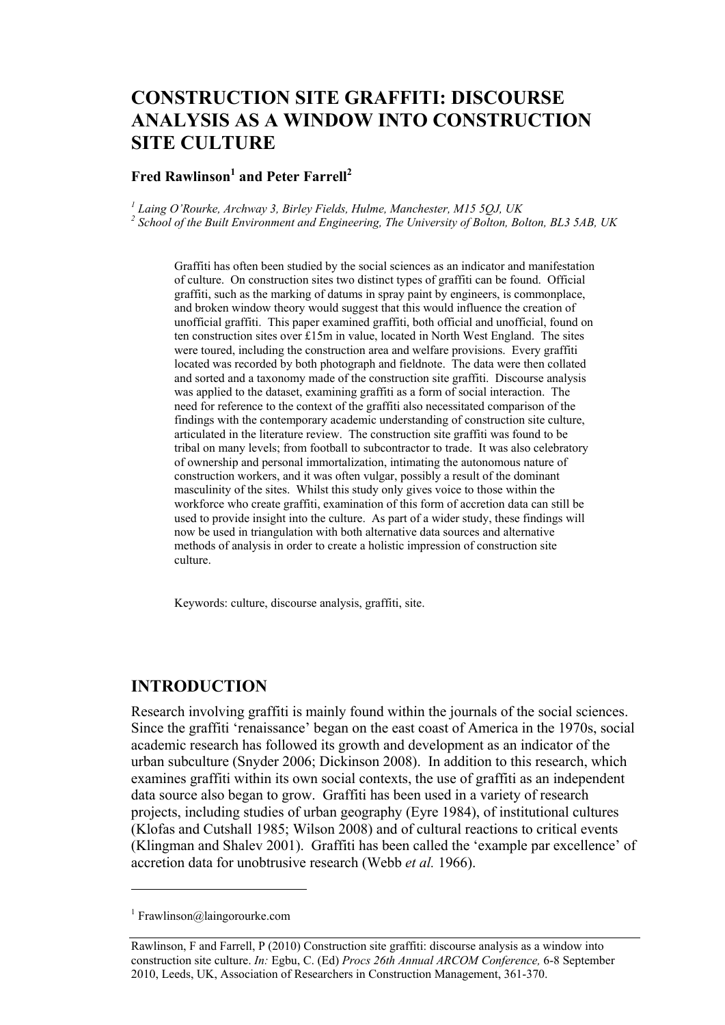# **CONSTRUCTION SITE GRAFFITI: DISCOURSE ANALYSIS AS A WINDOW INTO CONSTRUCTION SITE CULTURE**

#### **Fred Rawlinson<sup>1</sup> and Peter Farrell<sup>2</sup>**

<sup>1</sup> Laing O'Rourke, Archway 3, Birley Fields, Hulme, Manchester, M15 5QJ, UK<br><sup>2</sup> Sebool of the Puilt Emvironment and Engineering. The University of Polton, Po  *School of the Built Environment and Engineering, The University of Bolton, Bolton, BL3 5AB, UK* 

Graffiti has often been studied by the social sciences as an indicator and manifestation of culture. On construction sites two distinct types of graffiti can be found. Official graffiti, such as the marking of datums in spray paint by engineers, is commonplace, and broken window theory would suggest that this would influence the creation of unofficial graffiti. This paper examined graffiti, both official and unofficial, found on ten construction sites over £15m in value, located in North West England. The sites were toured, including the construction area and welfare provisions. Every graffiti located was recorded by both photograph and fieldnote. The data were then collated and sorted and a taxonomy made of the construction site graffiti. Discourse analysis was applied to the dataset, examining graffiti as a form of social interaction. The need for reference to the context of the graffiti also necessitated comparison of the findings with the contemporary academic understanding of construction site culture, articulated in the literature review. The construction site graffiti was found to be tribal on many levels; from football to subcontractor to trade. It was also celebratory of ownership and personal immortalization, intimating the autonomous nature of construction workers, and it was often vulgar, possibly a result of the dominant masculinity of the sites. Whilst this study only gives voice to those within the workforce who create graffiti, examination of this form of accretion data can still be used to provide insight into the culture. As part of a wider study, these findings will now be used in triangulation with both alternative data sources and alternative methods of analysis in order to create a holistic impression of construction site culture.

Keywords: culture, discourse analysis, graffiti, site.

#### **INTRODUCTION**

Research involving graffiti is mainly found within the journals of the social sciences. Since the graffiti 'renaissance' began on the east coast of America in the 1970s, social academic research has followed its growth and development as an indicator of the urban subculture (Snyder 2006; Dickinson 2008). In addition to this research, which examines graffiti within its own social contexts, the use of graffiti as an independent data source also began to grow. Graffiti has been used in a variety of research projects, including studies of urban geography (Eyre 1984), of institutional cultures (Klofas and Cutshall 1985; Wilson 2008) and of cultural reactions to critical events (Klingman and Shalev 2001). Graffiti has been called the 'example par excellence' of accretion data for unobtrusive research (Webb *et al.* 1966).

 $\overline{a}$ 

<sup>1</sup> Frawlinson@laingorourke.com

Rawlinson, F and Farrell, P (2010) Construction site graffiti: discourse analysis as a window into construction site culture. *In:* Egbu, C. (Ed) *Procs 26th Annual ARCOM Conference,* 6-8 September 2010, Leeds, UK, Association of Researchers in Construction Management, 361-370.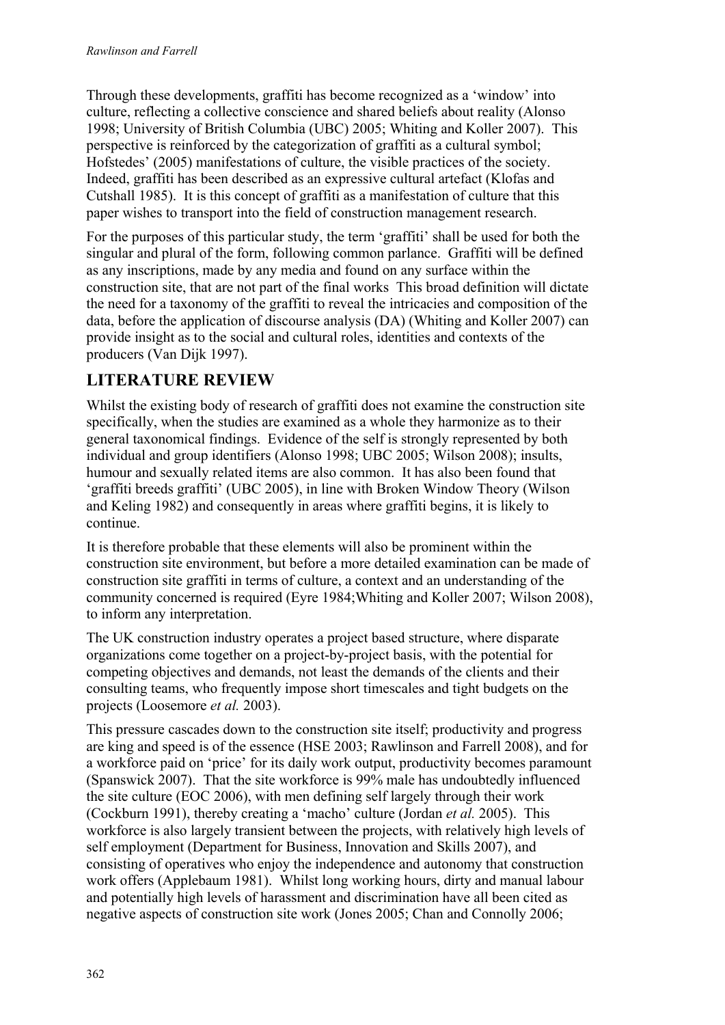Through these developments, graffiti has become recognized as a 'window' into culture, reflecting a collective conscience and shared beliefs about reality (Alonso 1998; University of British Columbia (UBC) 2005; Whiting and Koller 2007). This perspective is reinforced by the categorization of graffiti as a cultural symbol; Hofstedes' (2005) manifestations of culture, the visible practices of the society. Indeed, graffiti has been described as an expressive cultural artefact (Klofas and Cutshall 1985). It is this concept of graffiti as a manifestation of culture that this paper wishes to transport into the field of construction management research.

For the purposes of this particular study, the term 'graffiti' shall be used for both the singular and plural of the form, following common parlance. Graffiti will be defined as any inscriptions, made by any media and found on any surface within the construction site, that are not part of the final works This broad definition will dictate the need for a taxonomy of the graffiti to reveal the intricacies and composition of the data, before the application of discourse analysis (DA) (Whiting and Koller 2007) can provide insight as to the social and cultural roles, identities and contexts of the producers (Van Dijk 1997).

# **LITERATURE REVIEW**

Whilst the existing body of research of graffiti does not examine the construction site specifically, when the studies are examined as a whole they harmonize as to their general taxonomical findings. Evidence of the self is strongly represented by both individual and group identifiers (Alonso 1998; UBC 2005; Wilson 2008); insults, humour and sexually related items are also common. It has also been found that 'graffiti breeds graffiti' (UBC 2005), in line with Broken Window Theory (Wilson and Keling 1982) and consequently in areas where graffiti begins, it is likely to continue.

It is therefore probable that these elements will also be prominent within the construction site environment, but before a more detailed examination can be made of construction site graffiti in terms of culture, a context and an understanding of the community concerned is required (Eyre 1984;Whiting and Koller 2007; Wilson 2008), to inform any interpretation.

The UK construction industry operates a project based structure, where disparate organizations come together on a project-by-project basis, with the potential for competing objectives and demands, not least the demands of the clients and their consulting teams, who frequently impose short timescales and tight budgets on the projects (Loosemore *et al.* 2003).

This pressure cascades down to the construction site itself; productivity and progress are king and speed is of the essence (HSE 2003; Rawlinson and Farrell 2008), and for a workforce paid on 'price' for its daily work output, productivity becomes paramount (Spanswick 2007). That the site workforce is 99% male has undoubtedly influenced the site culture (EOC 2006), with men defining self largely through their work (Cockburn 1991), thereby creating a 'macho' culture (Jordan *et al.* 2005). This workforce is also largely transient between the projects, with relatively high levels of self employment (Department for Business, Innovation and Skills 2007), and consisting of operatives who enjoy the independence and autonomy that construction work offers (Applebaum 1981). Whilst long working hours, dirty and manual labour and potentially high levels of harassment and discrimination have all been cited as negative aspects of construction site work (Jones 2005; Chan and Connolly 2006;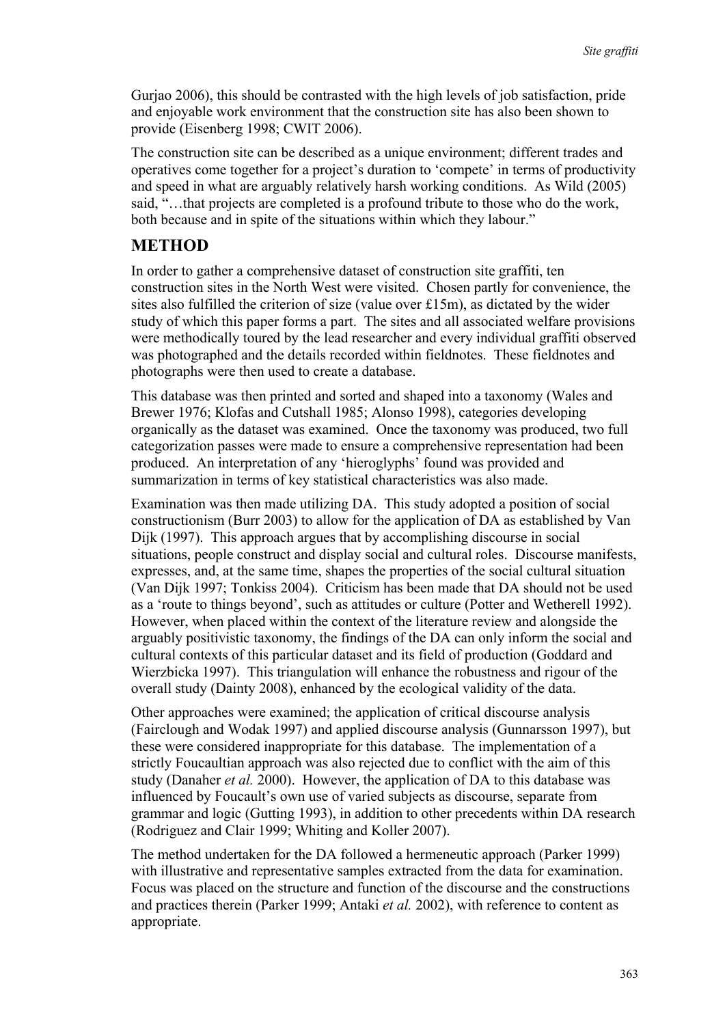Gurjao 2006), this should be contrasted with the high levels of job satisfaction, pride and enjoyable work environment that the construction site has also been shown to provide (Eisenberg 1998; CWIT 2006).

The construction site can be described as a unique environment; different trades and operatives come together for a project's duration to 'compete' in terms of productivity and speed in what are arguably relatively harsh working conditions. As Wild (2005) said, "…that projects are completed is a profound tribute to those who do the work, both because and in spite of the situations within which they labour."

### **METHOD**

In order to gather a comprehensive dataset of construction site graffiti, ten construction sites in the North West were visited. Chosen partly for convenience, the sites also fulfilled the criterion of size (value over  $£15m$ ), as dictated by the wider study of which this paper forms a part. The sites and all associated welfare provisions were methodically toured by the lead researcher and every individual graffiti observed was photographed and the details recorded within fieldnotes. These fieldnotes and photographs were then used to create a database.

This database was then printed and sorted and shaped into a taxonomy (Wales and Brewer 1976; Klofas and Cutshall 1985; Alonso 1998), categories developing organically as the dataset was examined. Once the taxonomy was produced, two full categorization passes were made to ensure a comprehensive representation had been produced. An interpretation of any 'hieroglyphs' found was provided and summarization in terms of key statistical characteristics was also made.

Examination was then made utilizing DA. This study adopted a position of social constructionism (Burr 2003) to allow for the application of DA as established by Van Dijk (1997). This approach argues that by accomplishing discourse in social situations, people construct and display social and cultural roles. Discourse manifests, expresses, and, at the same time, shapes the properties of the social cultural situation (Van Dijk 1997; Tonkiss 2004). Criticism has been made that DA should not be used as a 'route to things beyond', such as attitudes or culture (Potter and Wetherell 1992). However, when placed within the context of the literature review and alongside the arguably positivistic taxonomy, the findings of the DA can only inform the social and cultural contexts of this particular dataset and its field of production (Goddard and Wierzbicka 1997). This triangulation will enhance the robustness and rigour of the overall study (Dainty 2008), enhanced by the ecological validity of the data.

Other approaches were examined; the application of critical discourse analysis (Fairclough and Wodak 1997) and applied discourse analysis (Gunnarsson 1997), but these were considered inappropriate for this database. The implementation of a strictly Foucaultian approach was also rejected due to conflict with the aim of this study (Danaher *et al.* 2000). However, the application of DA to this database was influenced by Foucault's own use of varied subjects as discourse, separate from grammar and logic (Gutting 1993), in addition to other precedents within DA research (Rodriguez and Clair 1999; Whiting and Koller 2007).

The method undertaken for the DA followed a hermeneutic approach (Parker 1999) with illustrative and representative samples extracted from the data for examination. Focus was placed on the structure and function of the discourse and the constructions and practices therein (Parker 1999; Antaki *et al.* 2002), with reference to content as appropriate.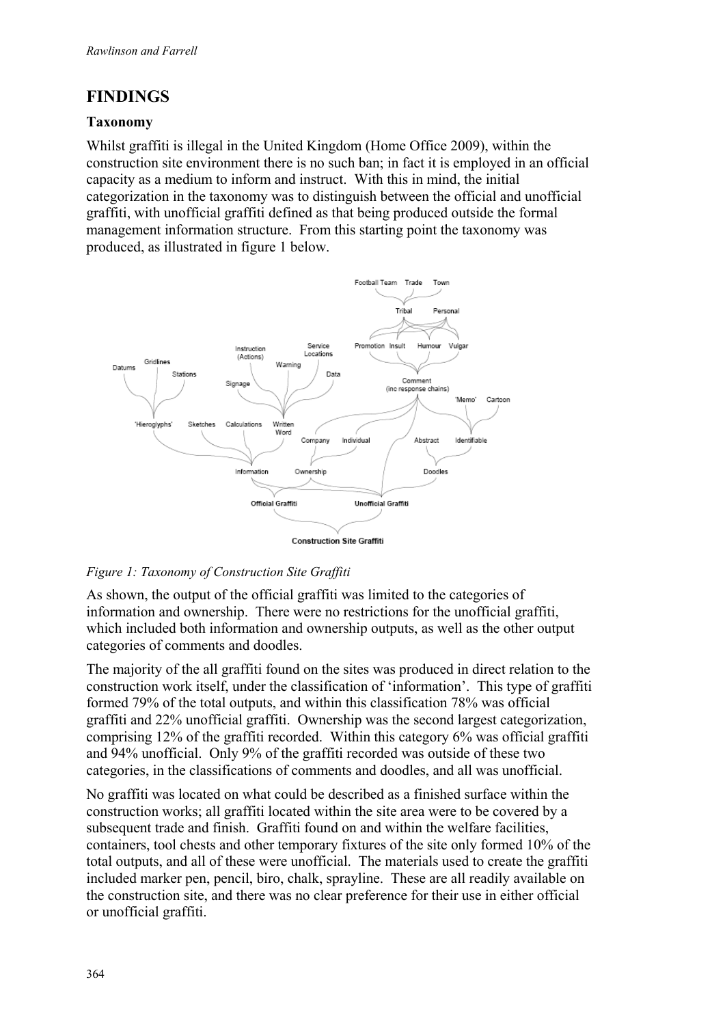# **FINDINGS**

#### **Taxonomy**

Whilst graffiti is illegal in the United Kingdom (Home Office 2009), within the construction site environment there is no such ban; in fact it is employed in an official capacity as a medium to inform and instruct. With this in mind, the initial categorization in the taxonomy was to distinguish between the official and unofficial graffiti, with unofficial graffiti defined as that being produced outside the formal management information structure. From this starting point the taxonomy was produced, as illustrated in figure 1 below.



#### *Figure 1: Taxonomy of Construction Site Graffiti*

As shown, the output of the official graffiti was limited to the categories of information and ownership. There were no restrictions for the unofficial graffiti, which included both information and ownership outputs, as well as the other output categories of comments and doodles.

The majority of the all graffiti found on the sites was produced in direct relation to the construction work itself, under the classification of 'information'. This type of graffiti formed 79% of the total outputs, and within this classification 78% was official graffiti and 22% unofficial graffiti. Ownership was the second largest categorization, comprising 12% of the graffiti recorded. Within this category 6% was official graffiti and 94% unofficial. Only 9% of the graffiti recorded was outside of these two categories, in the classifications of comments and doodles, and all was unofficial.

No graffiti was located on what could be described as a finished surface within the construction works; all graffiti located within the site area were to be covered by a subsequent trade and finish. Graffiti found on and within the welfare facilities, containers, tool chests and other temporary fixtures of the site only formed 10% of the total outputs, and all of these were unofficial. The materials used to create the graffiti included marker pen, pencil, biro, chalk, sprayline. These are all readily available on the construction site, and there was no clear preference for their use in either official or unofficial graffiti.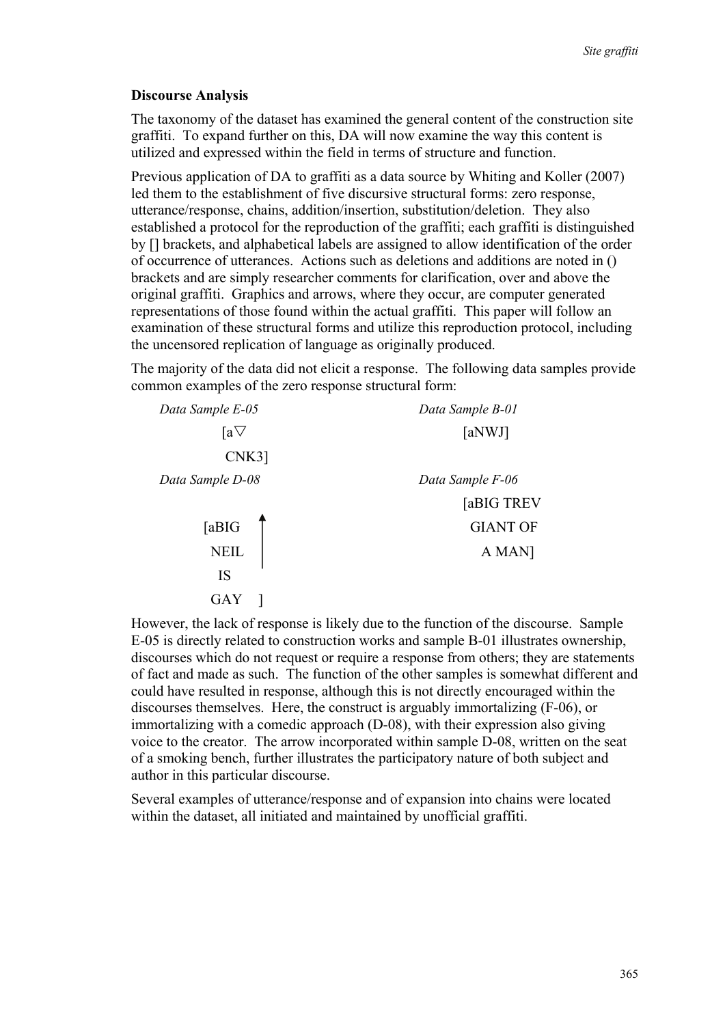#### **Discourse Analysis**

The taxonomy of the dataset has examined the general content of the construction site graffiti. To expand further on this, DA will now examine the way this content is utilized and expressed within the field in terms of structure and function.

Previous application of DA to graffiti as a data source by Whiting and Koller (2007) led them to the establishment of five discursive structural forms: zero response, utterance/response, chains, addition/insertion, substitution/deletion. They also established a protocol for the reproduction of the graffiti; each graffiti is distinguished by [] brackets, and alphabetical labels are assigned to allow identification of the order of occurrence of utterances. Actions such as deletions and additions are noted in () brackets and are simply researcher comments for clarification, over and above the original graffiti. Graphics and arrows, where they occur, are computer generated representations of those found within the actual graffiti. This paper will follow an examination of these structural forms and utilize this reproduction protocol, including the uncensored replication of language as originally produced.

The majority of the data did not elicit a response. The following data samples provide common examples of the zero response structural form:

| Data Sample E-05 | Data Sample B-01 |
|------------------|------------------|
| $[a \nabla$      | [aNWJ]           |
| $CNK3$ ]         |                  |
| Data Sample D-08 | Data Sample F-06 |
|                  | [aBIG TREV       |
| [aBIG            | <b>GIANT OF</b>  |
| <b>NEIL</b>      | A MAN]           |
| IS               |                  |
| GAY              |                  |

However, the lack of response is likely due to the function of the discourse. Sample E-05 is directly related to construction works and sample B-01 illustrates ownership, discourses which do not request or require a response from others; they are statements of fact and made as such. The function of the other samples is somewhat different and could have resulted in response, although this is not directly encouraged within the discourses themselves. Here, the construct is arguably immortalizing (F-06), or immortalizing with a comedic approach (D-08), with their expression also giving voice to the creator. The arrow incorporated within sample D-08, written on the seat of a smoking bench, further illustrates the participatory nature of both subject and author in this particular discourse.

Several examples of utterance/response and of expansion into chains were located within the dataset, all initiated and maintained by unofficial graffiti.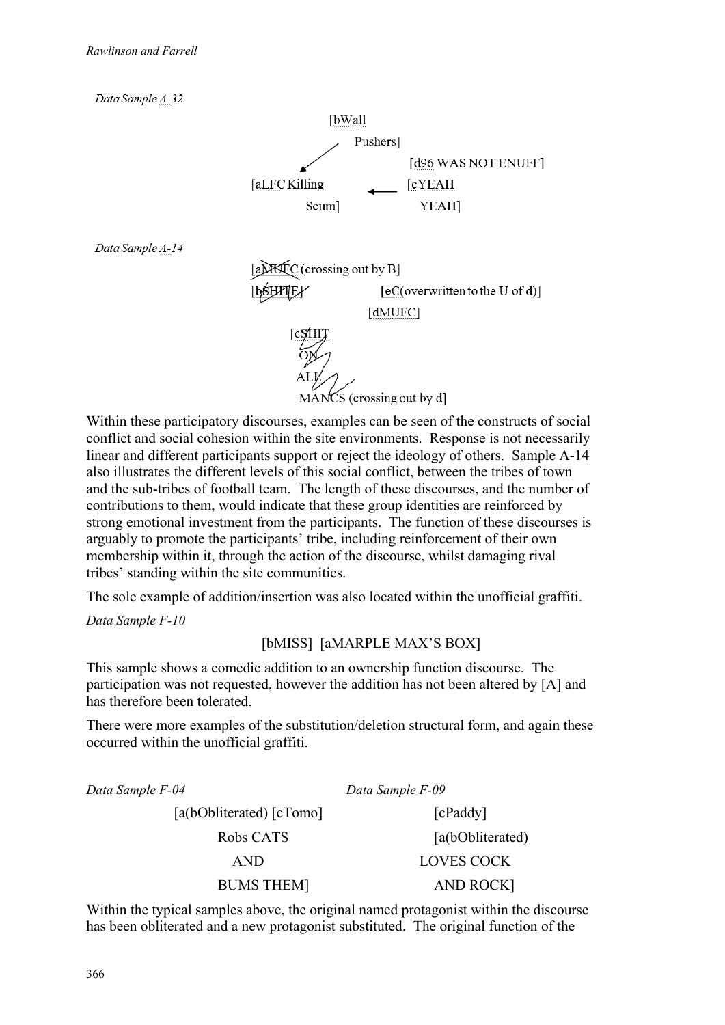

Within these participatory discourses, examples can be seen of the constructs of social conflict and social cohesion within the site environments. Response is not necessarily linear and different participants support or reject the ideology of others. Sample A-14 also illustrates the different levels of this social conflict, between the tribes of town and the sub-tribes of football team. The length of these discourses, and the number of contributions to them, would indicate that these group identities are reinforced by strong emotional investment from the participants. The function of these discourses is arguably to promote the participants' tribe, including reinforcement of their own membership within it, through the action of the discourse, whilst damaging rival tribes' standing within the site communities.

The sole example of addition/insertion was also located within the unofficial graffiti.

*Data Sample F-10* 

[bMISS] [aMARPLE MAX'S BOX]

This sample shows a comedic addition to an ownership function discourse. The participation was not requested, however the addition has not been altered by [A] and has therefore been tolerated.

There were more examples of the substitution/deletion structural form, and again these occurred within the unofficial graffiti.

| Data Sample F-04         | Data Sample F-09  |
|--------------------------|-------------------|
| [a(bObliterated) [cTomo] | [cPaddy]          |
| Robs CATS                | [a(bObliterated)  |
| <b>AND</b>               | <b>LOVES COCK</b> |
| <b>BUMS THEM</b>         | <b>AND ROCKI</b>  |
|                          |                   |

Within the typical samples above, the original named protagonist within the discourse has been obliterated and a new protagonist substituted. The original function of the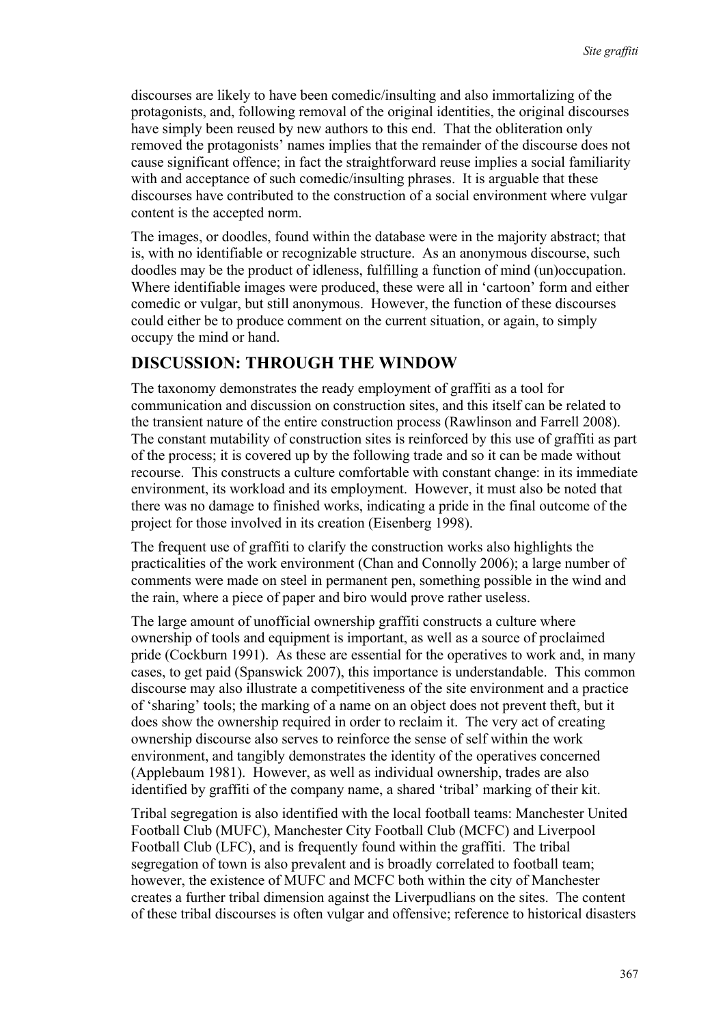discourses are likely to have been comedic/insulting and also immortalizing of the protagonists, and, following removal of the original identities, the original discourses have simply been reused by new authors to this end. That the obliteration only removed the protagonists' names implies that the remainder of the discourse does not cause significant offence; in fact the straightforward reuse implies a social familiarity with and acceptance of such comedic/insulting phrases. It is arguable that these discourses have contributed to the construction of a social environment where vulgar content is the accepted norm.

The images, or doodles, found within the database were in the majority abstract; that is, with no identifiable or recognizable structure. As an anonymous discourse, such doodles may be the product of idleness, fulfilling a function of mind (un)occupation. Where identifiable images were produced, these were all in 'cartoon' form and either comedic or vulgar, but still anonymous. However, the function of these discourses could either be to produce comment on the current situation, or again, to simply occupy the mind or hand.

### **DISCUSSION: THROUGH THE WINDOW**

The taxonomy demonstrates the ready employment of graffiti as a tool for communication and discussion on construction sites, and this itself can be related to the transient nature of the entire construction process (Rawlinson and Farrell 2008). The constant mutability of construction sites is reinforced by this use of graffiti as part of the process; it is covered up by the following trade and so it can be made without recourse. This constructs a culture comfortable with constant change: in its immediate environment, its workload and its employment. However, it must also be noted that there was no damage to finished works, indicating a pride in the final outcome of the project for those involved in its creation (Eisenberg 1998).

The frequent use of graffiti to clarify the construction works also highlights the practicalities of the work environment (Chan and Connolly 2006); a large number of comments were made on steel in permanent pen, something possible in the wind and the rain, where a piece of paper and biro would prove rather useless.

The large amount of unofficial ownership graffiti constructs a culture where ownership of tools and equipment is important, as well as a source of proclaimed pride (Cockburn 1991). As these are essential for the operatives to work and, in many cases, to get paid (Spanswick 2007), this importance is understandable. This common discourse may also illustrate a competitiveness of the site environment and a practice of 'sharing' tools; the marking of a name on an object does not prevent theft, but it does show the ownership required in order to reclaim it. The very act of creating ownership discourse also serves to reinforce the sense of self within the work environment, and tangibly demonstrates the identity of the operatives concerned (Applebaum 1981). However, as well as individual ownership, trades are also identified by graffiti of the company name, a shared 'tribal' marking of their kit.

Tribal segregation is also identified with the local football teams: Manchester United Football Club (MUFC), Manchester City Football Club (MCFC) and Liverpool Football Club (LFC), and is frequently found within the graffiti. The tribal segregation of town is also prevalent and is broadly correlated to football team; however, the existence of MUFC and MCFC both within the city of Manchester creates a further tribal dimension against the Liverpudlians on the sites. The content of these tribal discourses is often vulgar and offensive; reference to historical disasters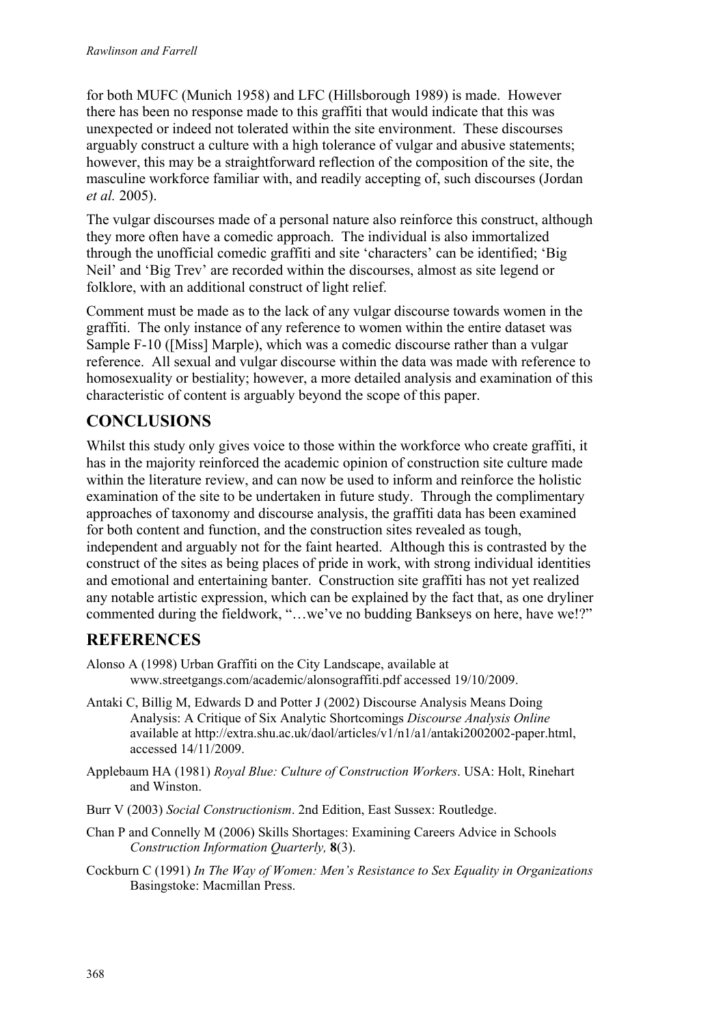for both MUFC (Munich 1958) and LFC (Hillsborough 1989) is made. However there has been no response made to this graffiti that would indicate that this was unexpected or indeed not tolerated within the site environment. These discourses arguably construct a culture with a high tolerance of vulgar and abusive statements; however, this may be a straightforward reflection of the composition of the site, the masculine workforce familiar with, and readily accepting of, such discourses (Jordan *et al.* 2005).

The vulgar discourses made of a personal nature also reinforce this construct, although they more often have a comedic approach. The individual is also immortalized through the unofficial comedic graffiti and site 'characters' can be identified; 'Big Neil' and 'Big Trev' are recorded within the discourses, almost as site legend or folklore, with an additional construct of light relief.

Comment must be made as to the lack of any vulgar discourse towards women in the graffiti. The only instance of any reference to women within the entire dataset was Sample F-10 ([Miss] Marple), which was a comedic discourse rather than a vulgar reference. All sexual and vulgar discourse within the data was made with reference to homosexuality or bestiality; however, a more detailed analysis and examination of this characteristic of content is arguably beyond the scope of this paper.

# **CONCLUSIONS**

Whilst this study only gives voice to those within the workforce who create graffiti, it has in the majority reinforced the academic opinion of construction site culture made within the literature review, and can now be used to inform and reinforce the holistic examination of the site to be undertaken in future study. Through the complimentary approaches of taxonomy and discourse analysis, the graffiti data has been examined for both content and function, and the construction sites revealed as tough, independent and arguably not for the faint hearted. Although this is contrasted by the construct of the sites as being places of pride in work, with strong individual identities and emotional and entertaining banter. Construction site graffiti has not yet realized any notable artistic expression, which can be explained by the fact that, as one dryliner commented during the fieldwork, "…we've no budding Bankseys on here, have we!?"

### **REFERENCES**

- Alonso A (1998) Urban Graffiti on the City Landscape, available at www.streetgangs.com/academic/alonsograffiti.pdf accessed 19/10/2009.
- Antaki C, Billig M, Edwards D and Potter J (2002) Discourse Analysis Means Doing Analysis: A Critique of Six Analytic Shortcomings *Discourse Analysis Online* available at http://extra.shu.ac.uk/daol/articles/v1/n1/a1/antaki2002002-paper.html, accessed 14/11/2009.
- Applebaum HA (1981) *Royal Blue: Culture of Construction Workers*. USA: Holt, Rinehart and Winston.
- Burr V (2003) *Social Constructionism*. 2nd Edition, East Sussex: Routledge.
- Chan P and Connelly M (2006) Skills Shortages: Examining Careers Advice in Schools *Construction Information Quarterly,* **8**(3).
- Cockburn C (1991) *In The Way of Women: Men's Resistance to Sex Equality in Organizations* Basingstoke: Macmillan Press.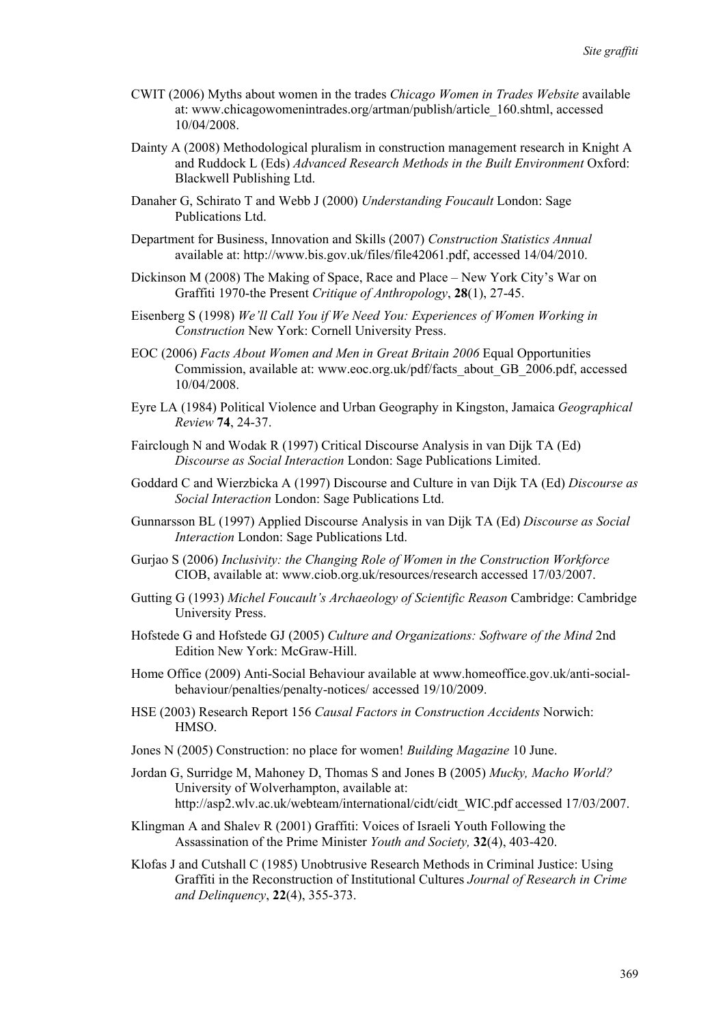- CWIT (2006) Myths about women in the trades *Chicago Women in Trades Website* available at: www.chicagowomenintrades.org/artman/publish/article\_160.shtml, accessed 10/04/2008.
- Dainty A (2008) Methodological pluralism in construction management research in Knight A and Ruddock L (Eds) *Advanced Research Methods in the Built Environment* Oxford: Blackwell Publishing Ltd.
- Danaher G, Schirato T and Webb J (2000) *Understanding Foucault* London: Sage Publications Ltd.
- Department for Business, Innovation and Skills (2007) *Construction Statistics Annual* available at: http://www.bis.gov.uk/files/file42061.pdf, accessed 14/04/2010.
- Dickinson M (2008) The Making of Space, Race and Place New York City's War on Graffiti 1970-the Present *Critique of Anthropology*, **28**(1), 27-45.
- Eisenberg S (1998) *We'll Call You if We Need You: Experiences of Women Working in Construction* New York: Cornell University Press.
- EOC (2006) *Facts About Women and Men in Great Britain 2006* Equal Opportunities Commission, available at: www.eoc.org.uk/pdf/facts\_about\_GB\_2006.pdf, accessed 10/04/2008.
- Eyre LA (1984) Political Violence and Urban Geography in Kingston, Jamaica *Geographical Review* **74**, 24-37.
- Fairclough N and Wodak R (1997) Critical Discourse Analysis in van Dijk TA (Ed) *Discourse as Social Interaction* London: Sage Publications Limited.
- Goddard C and Wierzbicka A (1997) Discourse and Culture in van Dijk TA (Ed) *Discourse as Social Interaction* London: Sage Publications Ltd.
- Gunnarsson BL (1997) Applied Discourse Analysis in van Dijk TA (Ed) *Discourse as Social Interaction* London: Sage Publications Ltd.
- Gurjao S (2006) *Inclusivity: the Changing Role of Women in the Construction Workforce* CIOB, available at: www.ciob.org.uk/resources/research accessed 17/03/2007.
- Gutting G (1993) *Michel Foucault's Archaeology of Scientific Reason* Cambridge: Cambridge University Press.
- Hofstede G and Hofstede GJ (2005) *Culture and Organizations: Software of the Mind* 2nd Edition New York: McGraw-Hill.
- Home Office (2009) Anti-Social Behaviour available at www.homeoffice.gov.uk/anti-socialbehaviour/penalties/penalty-notices/ accessed 19/10/2009.
- HSE (2003) Research Report 156 *Causal Factors in Construction Accidents* Norwich: HMSO.
- Jones N (2005) Construction: no place for women! *Building Magazine* 10 June.
- Jordan G, Surridge M, Mahoney D, Thomas S and Jones B (2005) *Mucky, Macho World?* University of Wolverhampton, available at: http://asp2.wlv.ac.uk/webteam/international/cidt/cidt\_WIC.pdf accessed 17/03/2007.
- Klingman A and Shalev R (2001) Graffiti: Voices of Israeli Youth Following the Assassination of the Prime Minister *Youth and Society,* **32**(4), 403-420.
- Klofas J and Cutshall C (1985) Unobtrusive Research Methods in Criminal Justice: Using Graffiti in the Reconstruction of Institutional Cultures *Journal of Research in Crime and Delinquency*, **22**(4), 355-373.